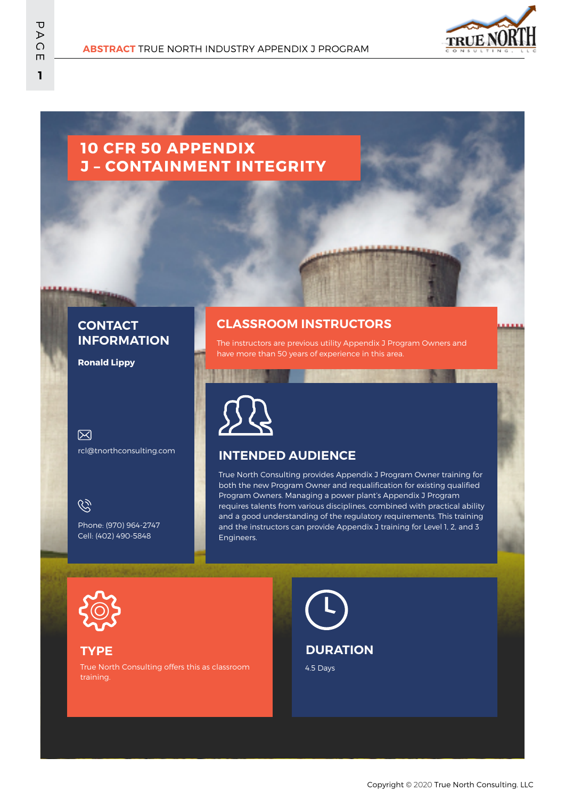

# **10 CFR 50 APPENDIX J – CONTAINMENT INTEGRITY**

# **CONTACT INFORMATION**

**Ronald Lippy**

 $\boxtimes$ rcl@tnorthconsulting.com

 $\mathcal{C}$ 

Phone: (970) 964-2747 Cell: (402) 490-5848

# **CLASSROOM INSTRUCTORS**

The instructors are previous utility Appendix J Program Owners and have more than 50 years of experience in this area.

# **INTENDED AUDIENCE**

True North Consulting provides Appendix J Program Owner training for both the new Program Owner and requalification for existing qualified Program Owners. Managing a power plant's Appendix J Program requires talents from various disciplines, combined with practical ability and a good understanding of the regulatory requirements. This training and the instructors can provide Appendix J training for Level 1, 2, and 3 Engineers.



### **TYPE**

True North Consulting offers this as classroom training.

# **DURATION**

4.5 Days